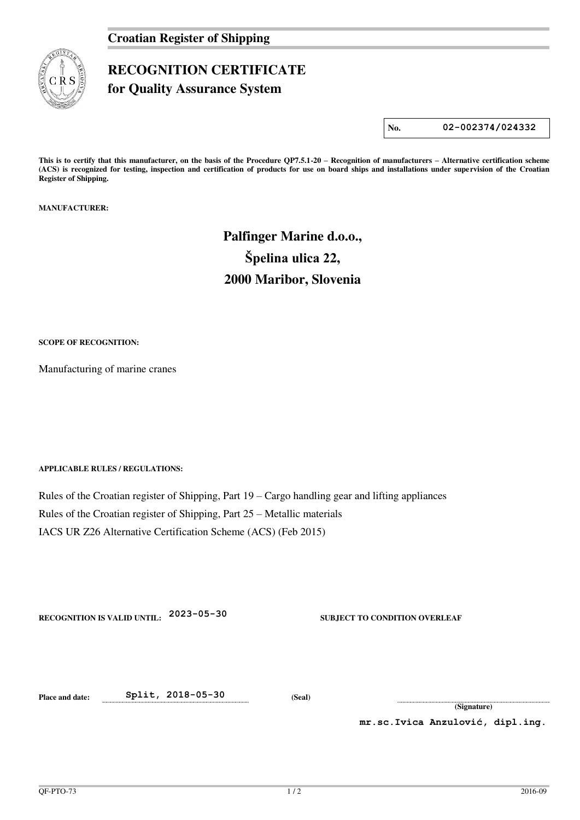### **Croatian Register of Shipping**



## **RECOGNITION CERTIFICATE**

**for Quality Assurance System** 

**No. 02-002374/024332**

**This is to certify that this manufacturer, on the basis of the Procedure QP7.5.1-20 – Recognition of manufacturers – Alternative certification scheme (ACS) is recognized for testing, inspection and certification of products for use on board ships and installations under supervision of the Croatian Register of Shipping.** 

**MANUFACTURER:** 

# **Palfinger Marine d.o.o., Špelina ulica 22, 2000 Maribor, Slovenia**

**SCOPE OF RECOGNITION:** 

Manufacturing of marine cranes

#### **APPLICABLE RULES / REGULATIONS:**

Rules of the Croatian register of Shipping, Part 19 – Cargo handling gear and lifting appliances Rules of the Croatian register of Shipping, Part 25 – Metallic materials IACS UR Z26 Alternative Certification Scheme (ACS) (Feb 2015)

| <b>RECOGNITION IS VALID UNTIL:</b> | $2023 - 05 - 30$ |
|------------------------------------|------------------|
|------------------------------------|------------------|

**SUBJECT TO CONDITION OVERLEAF** 

**Place and date: Split, 2018-05-30 (Seal)** 

**(Signature)** 

**mr.sc.Ivica Anzulović, dipl.ing.**